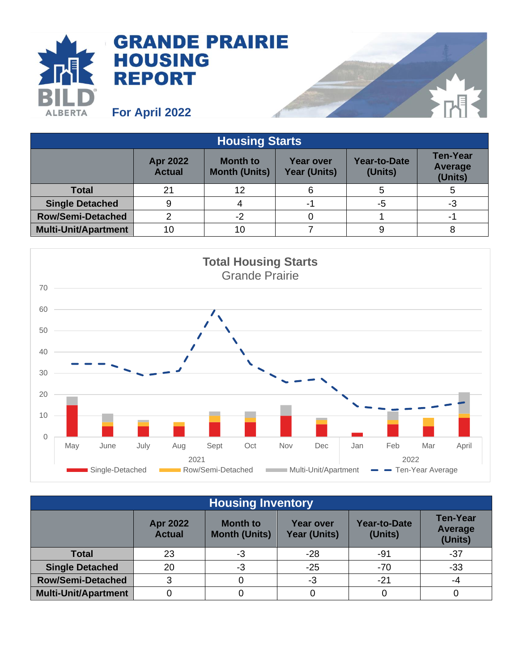

| <b>Housing Starts</b>       |                                  |                                         |                                         |                         |                                              |  |
|-----------------------------|----------------------------------|-----------------------------------------|-----------------------------------------|-------------------------|----------------------------------------------|--|
|                             | <b>Apr 2022</b><br><b>Actual</b> | <b>Month to</b><br><b>Month (Units)</b> | <b>Year over</b><br><b>Year (Units)</b> | Year-to-Date<br>(Units) | <b>Ten-Year</b><br><b>Average</b><br>(Units) |  |
| <b>Total</b>                | 21                               | 12                                      |                                         |                         |                                              |  |
| <b>Single Detached</b>      | 9                                |                                         | -1                                      | -5                      | -3                                           |  |
| <b>Row/Semi-Detached</b>    |                                  | -2                                      |                                         |                         |                                              |  |
| <b>Multi-Unit/Apartment</b> | 10                               | 10                                      |                                         |                         |                                              |  |



| <b>Housing Inventory</b>    |                                  |                                         |                                  |                                |                                       |  |
|-----------------------------|----------------------------------|-----------------------------------------|----------------------------------|--------------------------------|---------------------------------------|--|
|                             | <b>Apr 2022</b><br><b>Actual</b> | <b>Month to</b><br><b>Month (Units)</b> | Year over<br><b>Year (Units)</b> | <b>Year-to-Date</b><br>(Units) | <b>Ten-Year</b><br>Average<br>(Units) |  |
| <b>Total</b>                | 23                               | -3                                      | $-28$                            | -91                            | $-37$                                 |  |
| <b>Single Detached</b>      | 20                               | -3                                      | $-25$                            | $-70$                          | $-33$                                 |  |
| <b>Row/Semi-Detached</b>    | 3                                |                                         | -3                               | $-21$                          | -4                                    |  |
| <b>Multi-Unit/Apartment</b> |                                  |                                         |                                  |                                |                                       |  |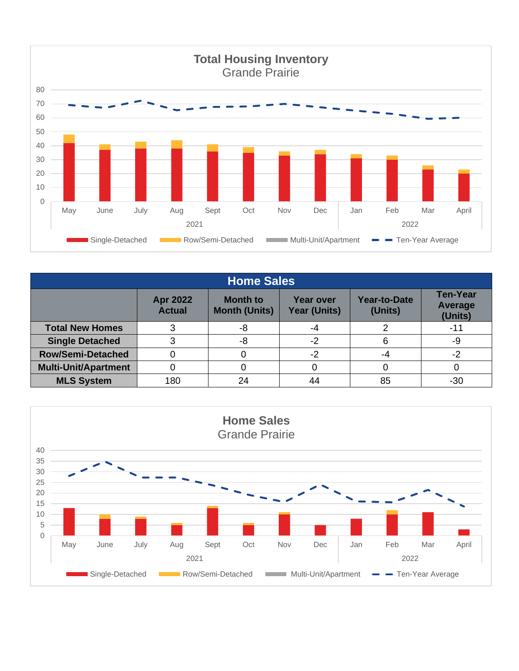

| <b>Home Sales</b>           |                                  |                                         |                                         |                                |                                       |  |
|-----------------------------|----------------------------------|-----------------------------------------|-----------------------------------------|--------------------------------|---------------------------------------|--|
|                             | <b>Apr 2022</b><br><b>Actual</b> | <b>Month to</b><br><b>Month (Units)</b> | <b>Year over</b><br><b>Year (Units)</b> | <b>Year-to-Date</b><br>(Units) | <b>Ten-Year</b><br>Average<br>(Units) |  |
| <b>Total New Homes</b>      |                                  | -8                                      | -4                                      |                                | -11                                   |  |
| <b>Single Detached</b>      |                                  | -8                                      | $-2$                                    |                                | -9                                    |  |
| <b>Row/Semi-Detached</b>    |                                  |                                         | -2                                      | -4                             | -2                                    |  |
| <b>Multi-Unit/Apartment</b> |                                  |                                         |                                         |                                |                                       |  |
| <b>MLS System</b>           | 180                              | 24                                      | 44                                      | 85                             | -30                                   |  |